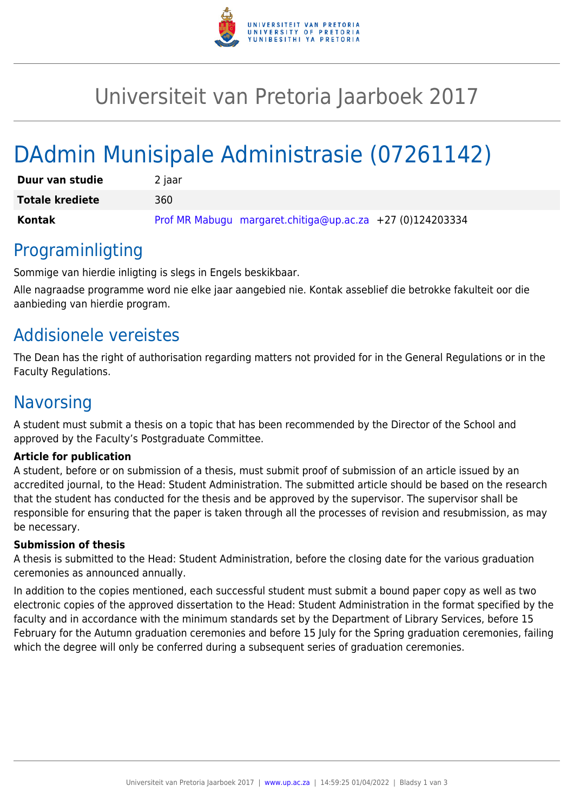

# Universiteit van Pretoria Jaarboek 2017

# DAdmin Munisipale Administrasie (07261142)

| Duur van studie        | 2 jaar                                                    |
|------------------------|-----------------------------------------------------------|
| <b>Totale krediete</b> | 360                                                       |
| Kontak                 | Prof MR Mabugu margaret.chitiga@up.ac.za +27 (0)124203334 |

### Programinligting

Sommige van hierdie inligting is slegs in Engels beskikbaar.

Alle nagraadse programme word nie elke jaar aangebied nie. Kontak asseblief die betrokke fakulteit oor die aanbieding van hierdie program.

## Addisionele vereistes

The Dean has the right of authorisation regarding matters not provided for in the General Regulations or in the Faculty Regulations.

# **Navorsing**

A student must submit a thesis on a topic that has been recommended by the Director of the School and approved by the Faculty's Postgraduate Committee.

### **Article for publication**

A student, before or on submission of a thesis, must submit proof of submission of an article issued by an accredited journal, to the Head: Student Administration. The submitted article should be based on the research that the student has conducted for the thesis and be approved by the supervisor. The supervisor shall be responsible for ensuring that the paper is taken through all the processes of revision and resubmission, as may be necessary.

### **Submission of thesis**

A thesis is submitted to the Head: Student Administration, before the closing date for the various graduation ceremonies as announced annually.

In addition to the copies mentioned, each successful student must submit a bound paper copy as well as two electronic copies of the approved dissertation to the Head: Student Administration in the format specified by the faculty and in accordance with the minimum standards set by the Department of Library Services, before 15 February for the Autumn graduation ceremonies and before 15 July for the Spring graduation ceremonies, failing which the degree will only be conferred during a subsequent series of graduation ceremonies.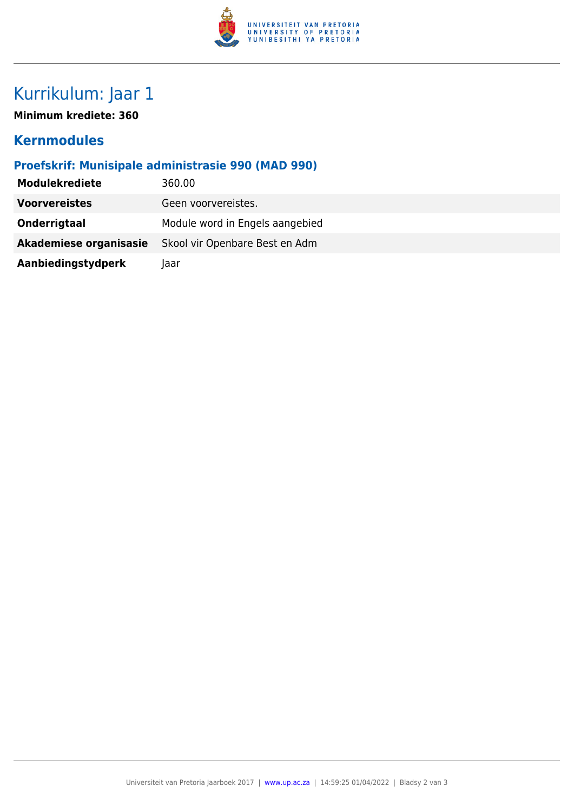

# Kurrikulum: Jaar 1

**Minimum krediete: 360**

### **Kernmodules**

### **Proefskrif: Munisipale administrasie 990 (MAD 990)**

| <b>Modulekrediete</b>  | 360.00                          |  |
|------------------------|---------------------------------|--|
| <b>Voorvereistes</b>   | Geen voorvereistes.             |  |
| Onderrigtaal           | Module word in Engels aangebied |  |
| Akademiese organisasie | Skool vir Openbare Best en Adm  |  |
| Aanbiedingstydperk     | laar                            |  |